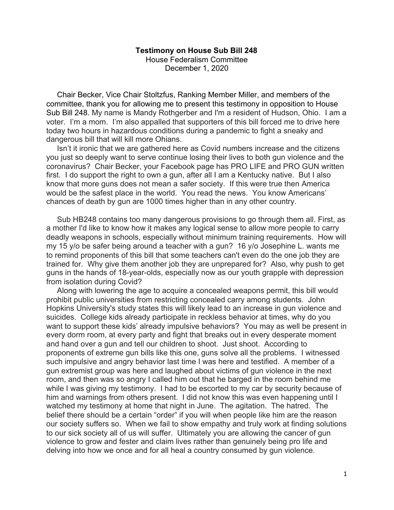## **Testimony on House Sub Bill 248**

House Federalism Committee December 1, 2020

 Chair Becker, Vice Chair Stoltzfus, Ranking Member Miller, and members of the committee, thank you for allowing me to present this testimony in opposition to House Sub Bill 248. My name is Mandy Rothgerber and I'm a resident of Hudson, Ohio. I am a voter. I'm a mom. I'm also appalled that supporters of this bill forced me to drive here today two hours in hazardous conditions during a pandemic to fight a sneaky and dangerous bill that will kill more Ohians.

 Isn't it ironic that we are gathered here as Covid numbers increase and the citizens you just so deeply want to serve continue losing their lives to both gun violence and the coronavirus? Chair Becker, your Facebook page has PRO LIFE and PRO GUN written first. I do support the right to own a gun, after all I am a Kentucky native. But I also know that more guns does not mean a safer society. If this were true then America would be the safest place in the world. You read the news. You know Americans' chances of death by gun are 1000 times higher than in any other country.

 Sub HB248 contains too many dangerous provisions to go through them all. First, as a mother I'd like to know how it makes any logical sense to allow more people to carry deadly weapons in schools, especially without minimum training requirements. How will my 15 y/o be safer being around a teacher with a gun? 16 y/o Josephine L. wants me to remind proponents of this bill that some teachers can't even do the one job they are trained for. Why give them another job they are unprepared for? Also, why push to get guns in the hands of 18-year-olds, especially now as our youth grapple with depression from isolation during Covid?

 Along with lowering the age to acquire a concealed weapons permit, this bill would prohibit public universities from restricting concealed carry among students. John Hopkins University's study states this will likely lead to an increase in gun violence and suicides. College kids already participate in reckless behavior at times, why do you want to support these kids' already impulsive behaviors? You may as well be present in every dorm room, at every party and fight that breaks out in every desperate moment and hand over a gun and tell our children to shoot. Just shoot. According to proponents of extreme gun bills like this one, guns solve all the problems. I witnessed such impulsive and angry behavior last time I was here and testified. A member of a gun extremist group was here and laughed about victims of gun violence in the next room, and then was so angry I called him out that he barged in the room behind me while I was giving my testimony. I had to be escorted to my car by security because of him and warnings from others present. I did not know this was even happening until I watched my testimony at home that night in June. The agitation. The hatred. The belief there should be a certain "order" if you will when people like him are the reason our society suffers so. When we fail to show empathy and truly work at finding solutions to our sick society all of us will suffer. Ultimately you are allowing the cancer of gun violence to grow and fester and claim lives rather than genuinely being pro life and delving into how we once and for all heal a country consumed by gun violence.